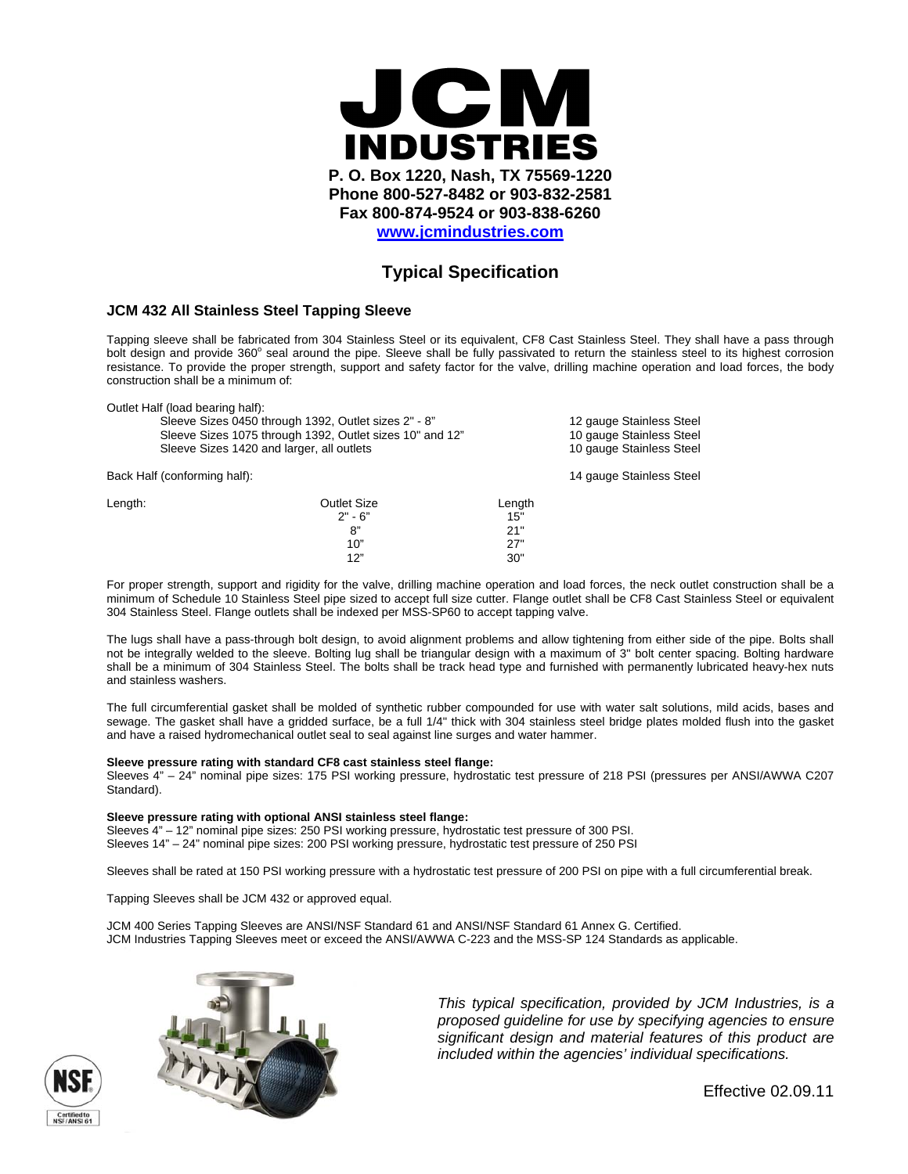

# **Typical Specification**

### **JCM 432 All Stainless Steel Tapping Sleeve**

Tapping sleeve shall be fabricated from 304 Stainless Steel or its equivalent, CF8 Cast Stainless Steel. They shall have a pass through bolt design and provide 360° seal around the pipe. Sleeve shall be fully passivated to return the stainless steel to its highest corrosion resistance. To provide the proper strength, support and safety factor for the valve, drilling machine operation and load forces, the body construction shall be a minimum of:

|         | Outlet Half (load bearing half):                         |                          |  |  |
|---------|----------------------------------------------------------|--------------------------|--|--|
|         | Sleeve Sizes 0450 through 1392, Outlet sizes 2" - 8"     | 12 gauge Stainless Steel |  |  |
|         | Sleeve Sizes 1075 through 1392, Outlet sizes 10" and 12" | 10 gauge Stainless Steel |  |  |
|         | Sleeve Sizes 1420 and larger, all outlets                | 10 gauge Stainless Steel |  |  |
|         | Back Half (conforming half):                             | 14 gauge Stainless Steel |  |  |
| Length: | Outlet Size                                              | Length                   |  |  |
|         | $2" - 6"$                                                | 15"                      |  |  |
|         | 8"                                                       | 21"                      |  |  |
|         | 10"                                                      | 27"                      |  |  |
|         | 12"                                                      | 30"                      |  |  |

For proper strength, support and rigidity for the valve, drilling machine operation and load forces, the neck outlet construction shall be a minimum of Schedule 10 Stainless Steel pipe sized to accept full size cutter. Flange outlet shall be CF8 Cast Stainless Steel or equivalent 304 Stainless Steel. Flange outlets shall be indexed per MSS-SP60 to accept tapping valve.

The lugs shall have a pass-through bolt design, to avoid alignment problems and allow tightening from either side of the pipe. Bolts shall not be integrally welded to the sleeve. Bolting lug shall be triangular design with a maximum of 3" bolt center spacing. Bolting hardware shall be a minimum of 304 Stainless Steel. The bolts shall be track head type and furnished with permanently lubricated heavy-hex nuts and stainless washers.

The full circumferential gasket shall be molded of synthetic rubber compounded for use with water salt solutions, mild acids, bases and sewage. The gasket shall have a gridded surface, be a full 1/4" thick with 304 stainless steel bridge plates molded flush into the gasket and have a raised hydromechanical outlet seal to seal against line surges and water hammer.

#### **Sleeve pressure rating with standard CF8 cast stainless steel flange:**

Sleeves 4" – 24" nominal pipe sizes: 175 PSI working pressure, hydrostatic test pressure of 218 PSI (pressures per ANSI/AWWA C207 Standard).

#### **Sleeve pressure rating with optional ANSI stainless steel flange:**

Sleeves 4" – 12" nominal pipe sizes: 250 PSI working pressure, hydrostatic test pressure of 300 PSI. Sleeves 14" – 24" nominal pipe sizes: 200 PSI working pressure, hydrostatic test pressure of 250 PSI

Sleeves shall be rated at 150 PSI working pressure with a hydrostatic test pressure of 200 PSI on pipe with a full circumferential break.

Tapping Sleeves shall be JCM 432 or approved equal.

JCM 400 Series Tapping Sleeves are ANSI/NSF Standard 61 and ANSI/NSF Standard 61 Annex G. Certified. JCM Industries Tapping Sleeves meet or exceed the ANSI/AWWA C-223 and the MSS-SP 124 Standards as applicable.





*This typical specification, provided by JCM Industries, is a proposed guideline for use by specifying agencies to ensure significant design and material features of this product are included within the agencies' individual specifications.* 

Effective 02.09.11